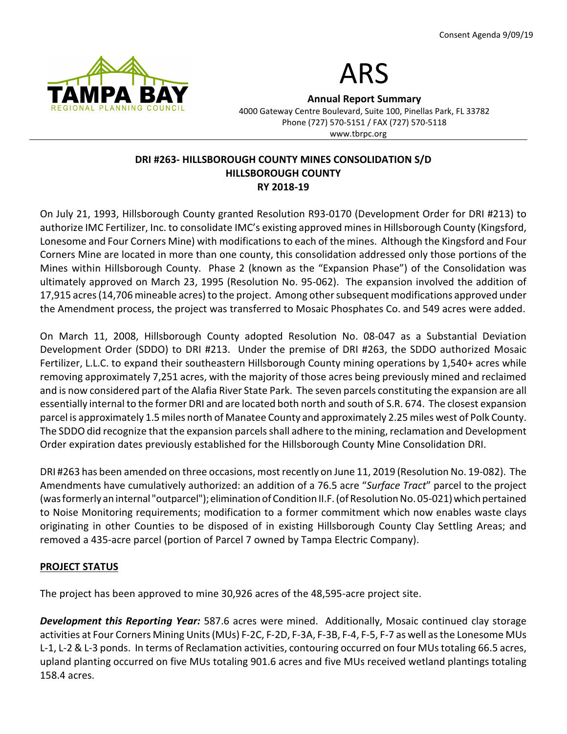



Annual Report Summary

4000 Gateway Centre Boulevard, Suite 100, Pinellas Park, FL 33782 Phone (727) 570-5151 / FAX (727) 570-5118 www.tbrpc.org

## DRI #263- HILLSBOROUGH COUNTY MINES CONSOLIDATION S/D HILLSBOROUGH COUNTY RY 2018-19

On July 21, 1993, Hillsborough County granted Resolution R93-0170 (Development Order for DRI #213) to authorize IMC Fertilizer, Inc. to consolidate IMC's existing approved mines in Hillsborough County (Kingsford, Lonesome and Four Corners Mine) with modifications to each of the mines. Although the Kingsford and Four Corners Mine are located in more than one county, this consolidation addressed only those portions of the Mines within Hillsborough County. Phase 2 (known as the "Expansion Phase") of the Consolidation was ultimately approved on March 23, 1995 (Resolution No. 95-062). The expansion involved the addition of 17,915 acres (14,706 mineable acres) to the project. Among other subsequent modifications approved under the Amendment process, the project was transferred to Mosaic Phosphates Co. and 549 acres were added.

On March 11, 2008, Hillsborough County adopted Resolution No. 08-047 as a Substantial Deviation Development Order (SDDO) to DRI #213. Under the premise of DRI #263, the SDDO authorized Mosaic Fertilizer, L.L.C. to expand their southeastern Hillsborough County mining operations by 1,540+ acres while removing approximately 7,251 acres, with the majority of those acres being previously mined and reclaimed and is now considered part of the Alafia River State Park. The seven parcels constituting the expansion are all essentially internal to the former DRI and are located both north and south of S.R. 674. The closest expansion parcel is approximately 1.5 miles north of Manatee County and approximately 2.25 miles west of Polk County. The SDDO did recognize that the expansion parcels shall adhere to the mining, reclamation and Development Order expiration dates previously established for the Hillsborough County Mine Consolidation DRI.

DRI #263 has been amended on three occasions, most recently on June 11, 2019 (Resolution No. 19-082). The Amendments have cumulatively authorized: an addition of a 76.5 acre "Surface Tract" parcel to the project (was formerly an internal "outparcel"); elimination of Condition II.F. (of Resolution No. 05-021) which pertained to Noise Monitoring requirements; modification to a former commitment which now enables waste clays originating in other Counties to be disposed of in existing Hillsborough County Clay Settling Areas; and removed a 435-acre parcel (portion of Parcel 7 owned by Tampa Electric Company).

# PROJECT STATUS

The project has been approved to mine 30,926 acres of the 48,595-acre project site.

**Development this Reporting Year:** 587.6 acres were mined. Additionally, Mosaic continued clay storage activities at Four Corners Mining Units (MUs) F-2C, F-2D, F-3A, F-3B, F-4, F-5, F-7 as well as the Lonesome MUs L-1, L-2 & L-3 ponds. In terms of Reclamation activities, contouring occurred on four MUs totaling 66.5 acres, upland planting occurred on five MUs totaling 901.6 acres and five MUs received wetland plantings totaling 158.4 acres.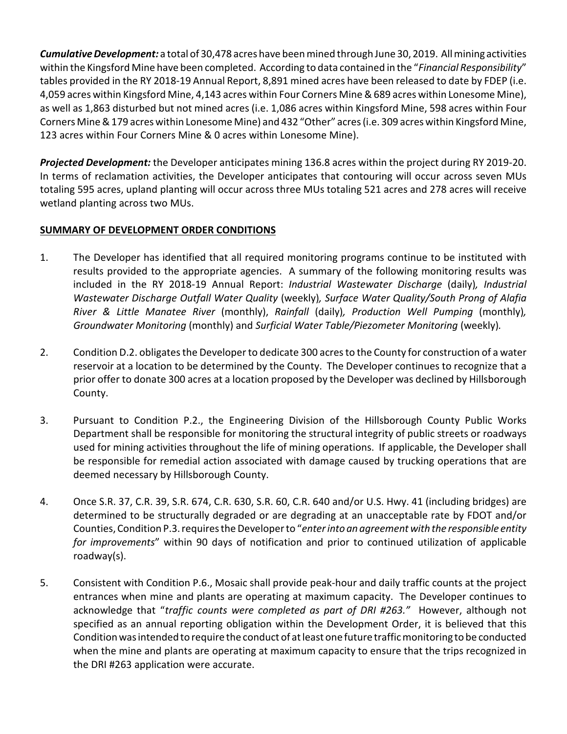Cumulative Development: a total of 30,478 acres have been mined through June 30, 2019. All mining activities within the Kingsford Mine have been completed. According to data contained in the "Financial Responsibility" tables provided in the RY 2018-19 Annual Report, 8,891 mined acres have been released to date by FDEP (i.e. 4,059 acres within Kingsford Mine, 4,143 acres within Four Corners Mine & 689 acres within Lonesome Mine), as well as 1,863 disturbed but not mined acres (i.e. 1,086 acres within Kingsford Mine, 598 acres within Four Corners Mine & 179 acres within Lonesome Mine) and 432 "Other" acres (i.e. 309 acres within Kingsford Mine, 123 acres within Four Corners Mine & 0 acres within Lonesome Mine).

Projected Development: the Developer anticipates mining 136.8 acres within the project during RY 2019-20. In terms of reclamation activities, the Developer anticipates that contouring will occur across seven MUs totaling 595 acres, upland planting will occur across three MUs totaling 521 acres and 278 acres will receive wetland planting across two MUs.

# SUMMARY OF DEVELOPMENT ORDER CONDITIONS

- 1. The Developer has identified that all required monitoring programs continue to be instituted with results provided to the appropriate agencies. A summary of the following monitoring results was included in the RY 2018-19 Annual Report: Industrial Wastewater Discharge (daily), Industrial Wastewater Discharge Outfall Water Quality (weekly), Surface Water Quality/South Prong of Alafia River & Little Manatee River (monthly), Rainfall (daily), Production Well Pumping (monthly), Groundwater Monitoring (monthly) and Surficial Water Table/Piezometer Monitoring (weekly).
- 2. Condition D.2. obligates the Developer to dedicate 300 acres to the County for construction of a water reservoir at a location to be determined by the County. The Developer continues to recognize that a prior offer to donate 300 acres at a location proposed by the Developer was declined by Hillsborough County.
- 3. Pursuant to Condition P.2., the Engineering Division of the Hillsborough County Public Works Department shall be responsible for monitoring the structural integrity of public streets or roadways used for mining activities throughout the life of mining operations. If applicable, the Developer shall be responsible for remedial action associated with damage caused by trucking operations that are deemed necessary by Hillsborough County.
- 4. Once S.R. 37, C.R. 39, S.R. 674, C.R. 630, S.R. 60, C.R. 640 and/or U.S. Hwy. 41 (including bridges) are determined to be structurally degraded or are degrading at an unacceptable rate by FDOT and/or Counties, Condition P.3. requires the Developer to "enter into an agreement with the responsible entity for improvements" within 90 days of notification and prior to continued utilization of applicable roadway(s).
- 5. Consistent with Condition P.6., Mosaic shall provide peak-hour and daily traffic counts at the project entrances when mine and plants are operating at maximum capacity. The Developer continues to acknowledge that "traffic counts were completed as part of DRI #263." However, although not specified as an annual reporting obligation within the Development Order, it is believed that this Condition was intended to require the conduct of at least one future traffic monitoring to be conducted when the mine and plants are operating at maximum capacity to ensure that the trips recognized in the DRI #263 application were accurate.